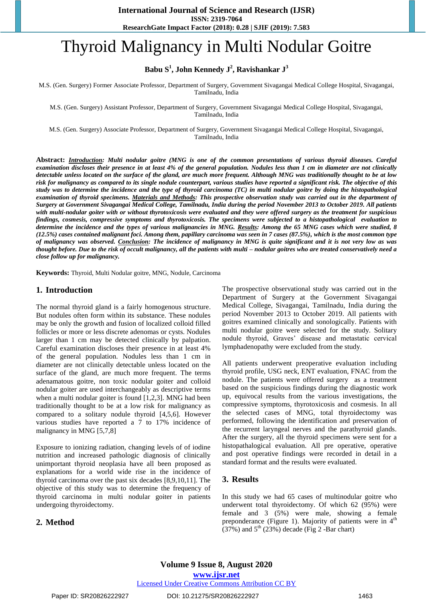# Thyroid Malignancy in Multi Nodular Goitre

**Babu S<sup>1</sup> , John Kennedy J<sup>2</sup> , Ravishankar J<sup>3</sup>**

M.S. (Gen. Surgery) Former Associate Professor, Department of Surgery, Government Sivagangai Medical College Hospital, Sivagangai, Tamilnadu, India

M.S. (Gen. Surgery) Assistant Professor, Department of Surgery, Government Sivagangai Medical College Hospital, Sivagangai, Tamilnadu, India

M.S. (Gen. Surgery) Associate Professor, Department of Surgery, Government Sivagangai Medical College Hospital, Sivagangai, Tamilnadu, India

**Abstract:** *Introduction: Multi nodular goitre (MNG is one of the common presentations of various thyroid diseases. Careful examination discloses their presence in at least 4% of the general population. Nodules less than 1 cm in diameter are not clinically detectable unless located on the surface of the gland, are much more frequent. Although MNG was traditionally thought to be at low risk for malignancy as compared to its single nodule counterpart, various studies have reported a significant risk. The objective of this study was to determine the incidence and the type of thyroid carcinoma (TC) in multi nodular goitre by doing the histopathological examination of thyroid specimens. Materials and Methods: This prospective observation study was carried out in the department of Surgery at Government Sivagangai Medical College, Tamilnadu, India during the period November 2013 to October 2019. All patients with multi-nodular goiter with or without thyrotoxicosis were evaluated and they were offered surgery as the treatment for suspicious findings, cosmesis, compressive symptoms and thyrotoxicosis. The specimens were subjected to a histopathological evaluation to determine the incidence and the types of various malignancies in MNG. Results: Among the 65 MNG cases which were studied, 8 (12.5%) cases contained malignant foci. Among them, papillary carcinoma was seen in 7 cases (87.5%), which is the most common type of malignancy was observed. Conclusion: The incidence of malignancy in MNG is quite significant and it is not very low as was thought before. Due to the risk of occult malignancy, all the patients with multi – nodular goitres who are treated conservatively need a close follow up for malignancy.*

**Keywords:** Thyroid, Multi Nodular goitre, MNG, Nodule, Carcinoma

#### **1. Introduction**

The normal thyroid gland is a fairly homogenous structure. But nodules often form within its substance. These nodules may be only the growth and fusion of localized colloid filled follicles or more or less discrete adenomas or cysts. Nodules larger than 1 cm may be detected clinically by palpation. Careful examination discloses their presence in at least 4% of the general population. Nodules less than 1 cm in diameter are not clinically detectable unless located on the surface of the gland, are much more frequent. The terms adenamatous goitre, non toxic nodular goiter and colloid nodular goiter are used interchangeably as descriptive terms when a multi nodular goiter is found [1,2,3]. MNG had been traditionally thought to be at a low risk for malignancy as compared to a solitary nodule thyroid [4,5,6]. However various studies have reported a 7 to 17% incidence of malignancy in MNG [5,7,8]

Exposure to ionizing radiation, changing levels of of iodine nutrition and increased pathologic diagnosis of clinically unimportant thyroid neoplasia have all been proposed as explanations for a world wide rise in the incidence of thyroid carcinoma over the past six decades [8,9,10,11]. The objective of this study was to determine the frequency of thyroid carcinoma in multi nodular goiter in patients undergoing thyroidectomy.

# **2. Method**

The prospective observational study was carried out in the Department of Surgery at the Government Sivagangai Medical College, Sivagangai, Tamilnadu, India during the period November 2013 to October 2019. All patients with goitres examined clinically and sonologically. Patients with multi nodular goitre were selected for the study. Solitary nodule thyroid, Graves' disease and metastatic cervical lymphadenopathy were excluded from the study.

All patients underwent preoperative evaluation including thyroid profile, USG neck, ENT evaluation, FNAC from the nodule. The patients were offered surgery as a treatment based on the suspicious findings during the diagnostic work up, equivocal results from the various investigations, the compressive symptoms, thyrotoxicosis and cosmesis. In all the selected cases of MNG, total thyroidectomy was performed, following the identification and preservation of the recurrent laryngeal nerves and the parathyroid glands. After the surgery, all the thyroid specimens were sent for a histopathalogical evaluation. All pre operative, operative and post operative findings were recorded in detail in a standard format and the results were evaluated.

## **3. Results**

In this study we had 65 cases of multinodular goitre who underwent total thyroidectomy. Of which 62 (95%) were female and 3 (5%) were male, showing a female preponderance (Figure 1). Majority of patients were in  $4<sup>th</sup>$  $(37%)$  and  $5<sup>th</sup> (23%)$  decade (Fig 2 -Bar chart)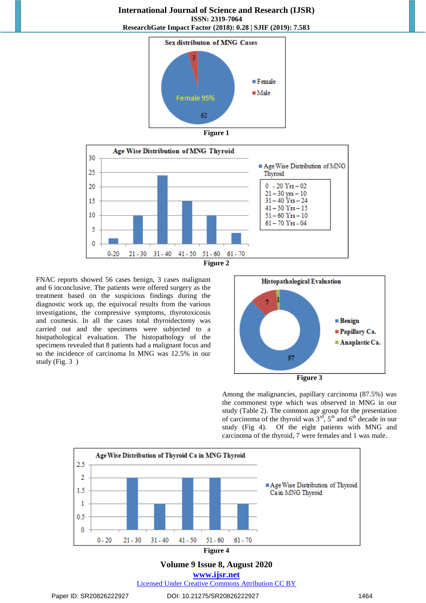**International Journal of Science and Research (IJSR) ISSN: 2319-7064 ResearchGate Impact Factor (2018): 0.28 | SJIF (2019): 7.583**







FNAC reports showed 56 cases benign, 3 cases malignant and 6 inconclusive. The patients were offered surgery as the treatment based on the suspicious findings during the diagnostic work up, the equivocal results from the various investigations, the compressive symptoms, thyrotoxicosis and cosmesis. In all the cases total thyroidectomy was carried out and the specimens were subjected to a histpathological evaluation. The histopathology of the specimens revealed that 8 patients had a malignant focus and so the incidence of carcinoma In MNG was 12.5% in our study (Fig. 3 )



Among the malignancies, papillary carcinoma (87.5%) was the commonest type which was observed in MNG in our study (Table 2). The common age group for the presentation of carcinoma of the thyroid was  $3<sup>rd</sup>$ ,  $5<sup>th</sup>$  and  $6<sup>th</sup>$  decade in our study (Fig 4). Of the eight patients with MNG and carcinoma of the thyroid, 7 were females and 1 was male.



Licensed Under Creative Commons Attribution CC BY